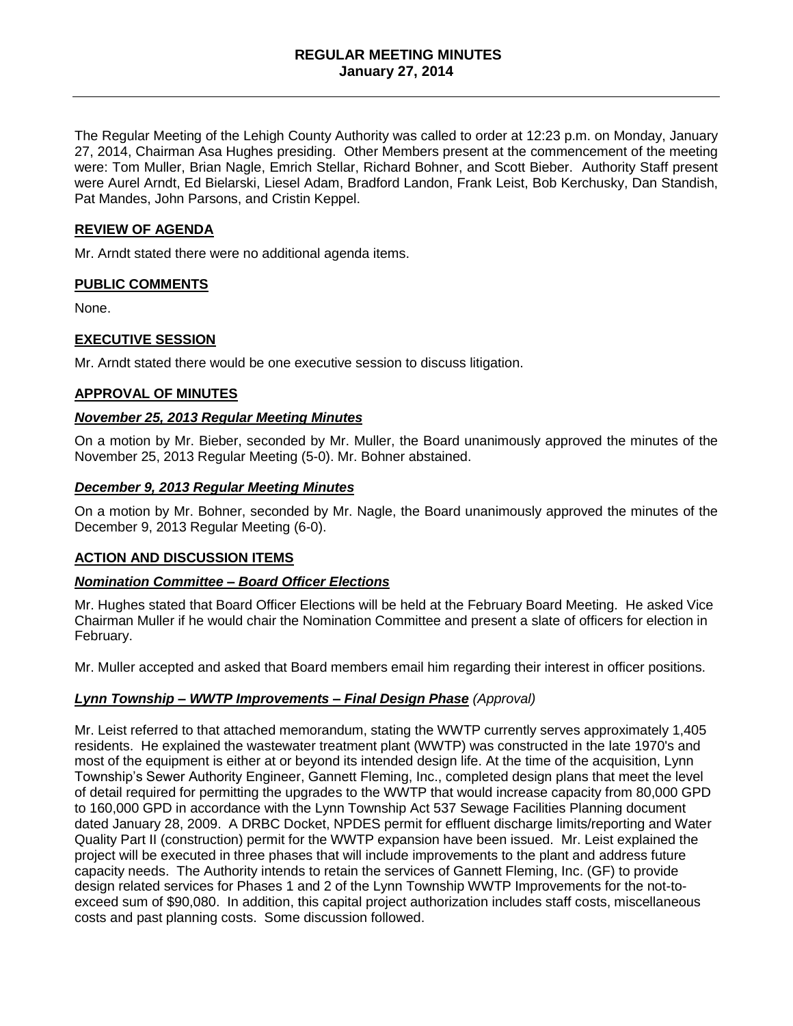### **REGULAR MEETING MINUTES January 27, 2014**

The Regular Meeting of the Lehigh County Authority was called to order at 12:23 p.m. on Monday, January 27, 2014, Chairman Asa Hughes presiding. Other Members present at the commencement of the meeting were: Tom Muller, Brian Nagle, Emrich Stellar, Richard Bohner, and Scott Bieber. Authority Staff present were Aurel Arndt, Ed Bielarski, Liesel Adam, Bradford Landon, Frank Leist, Bob Kerchusky, Dan Standish, Pat Mandes, John Parsons, and Cristin Keppel.

#### **REVIEW OF AGENDA**

Mr. Arndt stated there were no additional agenda items.

### **PUBLIC COMMENTS**

None.

### **EXECUTIVE SESSION**

Mr. Arndt stated there would be one executive session to discuss litigation.

#### **APPROVAL OF MINUTES**

#### *November 25, 2013 Regular Meeting Minutes*

On a motion by Mr. Bieber, seconded by Mr. Muller, the Board unanimously approved the minutes of the November 25, 2013 Regular Meeting (5-0). Mr. Bohner abstained.

#### *December 9, 2013 Regular Meeting Minutes*

On a motion by Mr. Bohner, seconded by Mr. Nagle, the Board unanimously approved the minutes of the December 9, 2013 Regular Meeting (6-0).

### **ACTION AND DISCUSSION ITEMS**

### *Nomination Committee – Board Officer Elections*

Mr. Hughes stated that Board Officer Elections will be held at the February Board Meeting. He asked Vice Chairman Muller if he would chair the Nomination Committee and present a slate of officers for election in February.

Mr. Muller accepted and asked that Board members email him regarding their interest in officer positions.

### *Lynn Township – WWTP Improvements – Final Design Phase (Approval)*

Mr. Leist referred to that attached memorandum, stating the WWTP currently serves approximately 1,405 residents. He explained the wastewater treatment plant (WWTP) was constructed in the late 1970's and most of the equipment is either at or beyond its intended design life. At the time of the acquisition, Lynn Township's Sewer Authority Engineer, Gannett Fleming, Inc., completed design plans that meet the level of detail required for permitting the upgrades to the WWTP that would increase capacity from 80,000 GPD to 160,000 GPD in accordance with the Lynn Township Act 537 Sewage Facilities Planning document dated January 28, 2009. A DRBC Docket, NPDES permit for effluent discharge limits/reporting and Water Quality Part II (construction) permit for the WWTP expansion have been issued. Mr. Leist explained the project will be executed in three phases that will include improvements to the plant and address future capacity needs. The Authority intends to retain the services of Gannett Fleming, Inc. (GF) to provide design related services for Phases 1 and 2 of the Lynn Township WWTP Improvements for the not-toexceed sum of \$90,080. In addition, this capital project authorization includes staff costs, miscellaneous costs and past planning costs. Some discussion followed.